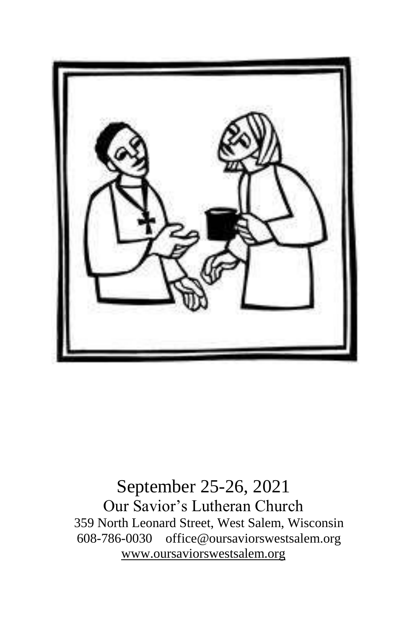

September 25-26, 2021 Our Savior's Lutheran Church 359 North Leonard Street, West Salem, Wisconsin 608-786-0030 office@oursaviorswestsalem.org [www.oursaviorswestsalem.org](http://www.oursaviorswestsalem.org/)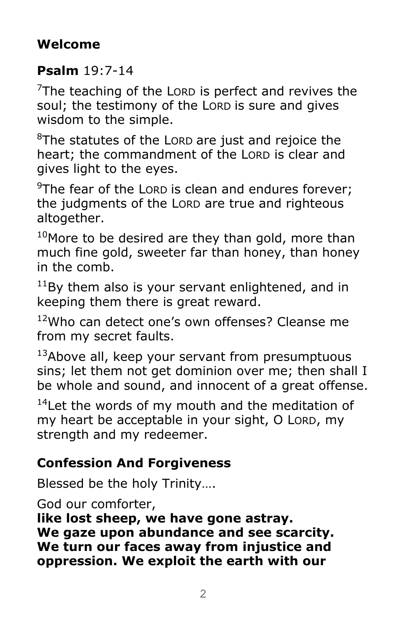## **Welcome**

## **Psalm** 19:7-14

 $7$ The teaching of the LORD is perfect and revives the soul; the testimony of the LORD is sure and gives wisdom to the simple.

 $8$ The statutes of the LORD are just and rejoice the heart; the commandment of the LORD is clear and gives light to the eyes.

 $9$ The fear of the LORD is clean and endures forever; the judgments of the LORD are true and righteous altogether.

 $10$ More to be desired are they than gold, more than much fine gold, sweeter far than honey, than honey in the comb.

 $11$ Bv them also is your servant enlightened, and in keeping them there is great reward.

<sup>12</sup>Who can detect one's own offenses? Cleanse me from my secret faults.

 $13A$ bove all, keep your servant from presumptuous sins; let them not get dominion over me; then shall I be whole and sound, and innocent of a great offense.

<sup>14</sup>Let the words of my mouth and the meditation of my heart be acceptable in your sight, O LORD, my strength and my redeemer.

## **Confession And Forgiveness**

Blessed be the holy Trinity….

God our comforter,

**like lost sheep, we have gone astray. We gaze upon abundance and see scarcity. We turn our faces away from injustice and oppression. We exploit the earth with our**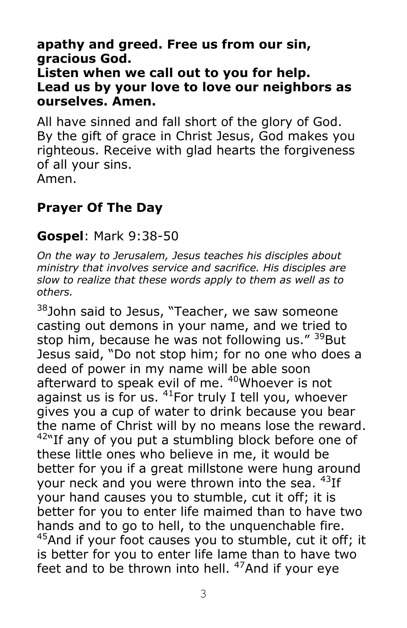**apathy and greed. Free us from our sin, gracious God.**

**Listen when we call out to you for help. Lead us by your love to love our neighbors as ourselves. Amen.**

All have sinned and fall short of the glory of God. By the gift of grace in Christ Jesus, God makes you righteous. Receive with glad hearts the forgiveness of all your sins. Amen.

## **Prayer Of The Day**

#### **Gospel**: Mark 9:38-50

*On the way to Jerusalem, Jesus teaches his disciples about ministry that involves service and sacrifice. His disciples are slow to realize that these words apply to them as well as to others.*

<sup>38</sup>John said to Jesus, "Teacher, we saw someone casting out demons in your name, and we tried to stop him, because he was not following us." <sup>39</sup>But Jesus said, "Do not stop him; for no one who does a deed of power in my name will be able soon afterward to speak evil of me. <sup>40</sup>Whoever is not against us is for us.  $41$  For truly I tell you, whoever gives you a cup of water to drink because you bear the name of Christ will by no means lose the reward.  $42$ "If any of you put a stumbling block before one of these little ones who believe in me, it would be better for you if a great millstone were hung around your neck and you were thrown into the sea.  $43$ If your hand causes you to stumble, cut it off; it is better for you to enter life maimed than to have two hands and to go to hell, to the unquenchable fire. <sup>45</sup>And if your foot causes you to stumble, cut it off; it is better for you to enter life lame than to have two feet and to be thrown into hell.  $47$ And if your eye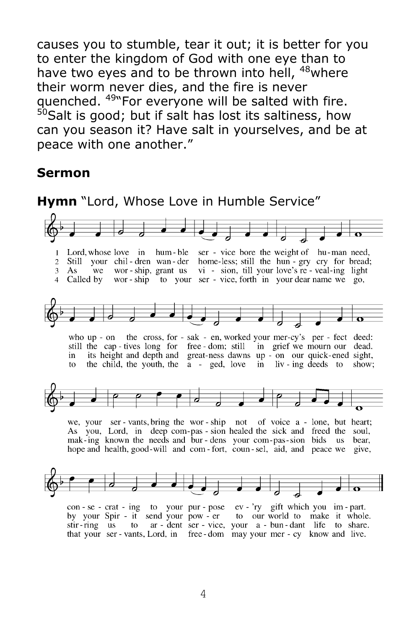causes you to stumble, tear it out; it is better for you to enter the kingdom of God with one eye than to have two eyes and to be thrown into hell, <sup>48</sup>where their worm never dies, and the fire is never quenched. <sup>49</sup> For everyone will be salted with fire.  $50$ Salt is good; but if salt has lost its saltiness, how can you season it? Have salt in yourselves, and be at peace with one another."

#### **Sermon**



4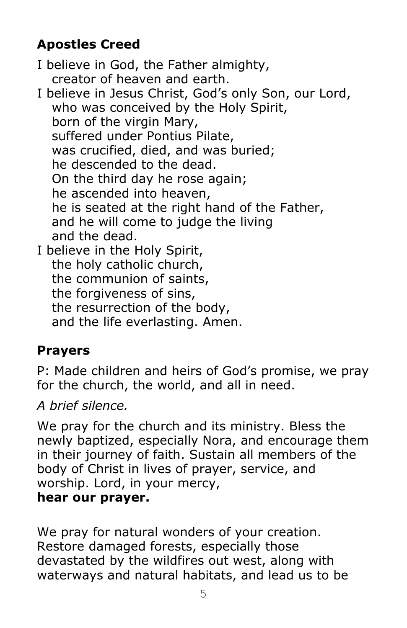# **Apostles Creed**

I believe in God, the Father almighty, creator of heaven and earth.

I believe in Jesus Christ, God's only Son, our Lord, who was conceived by the Holy Spirit, born of the virgin Mary, suffered under Pontius Pilate, was crucified, died, and was buried; he descended to the dead. On the third day he rose again; he ascended into heaven, he is seated at the right hand of the Father, and he will come to judge the living and the dead. I believe in the Holy Spirit, the holy catholic church,

the communion of saints,

the forgiveness of sins,

the resurrection of the body,

and the life everlasting. Amen.

# **Prayers**

P: Made children and heirs of God's promise, we pray for the church, the world, and all in need.

*A brief silence.*

We pray for the church and its ministry. Bless the newly baptized, especially Nora, and encourage them in their journey of faith. Sustain all members of the body of Christ in lives of prayer, service, and worship. Lord, in your mercy, **hear our prayer.**

We pray for natural wonders of your creation. Restore damaged forests, especially those devastated by the wildfires out west, along with waterways and natural habitats, and lead us to be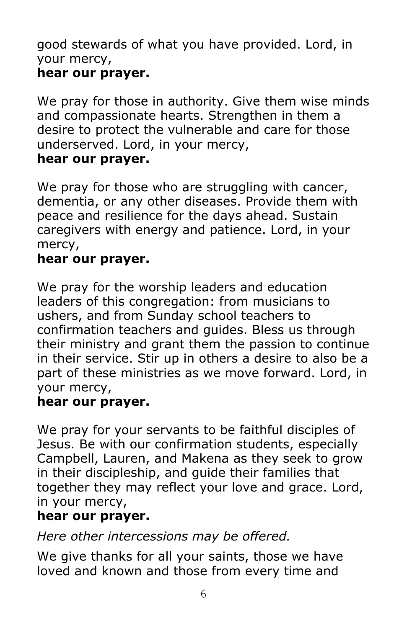good stewards of what you have provided. Lord, in your mercy, **hear our prayer.**

# We pray for those in authority. Give them wise minds and compassionate hearts. Strengthen in them a desire to protect the vulnerable and care for those underserved. Lord, in your mercy,

#### **hear our prayer.**

We pray for those who are struggling with cancer, dementia, or any other diseases. Provide them with peace and resilience for the days ahead. Sustain caregivers with energy and patience. Lord, in your mercy,

#### **hear our prayer.**

We pray for the worship leaders and education leaders of this congregation: from musicians to ushers, and from Sunday school teachers to confirmation teachers and guides. Bless us through their ministry and grant them the passion to continue in their service. Stir up in others a desire to also be a part of these ministries as we move forward. Lord, in your mercy,

#### **hear our prayer.**

We pray for your servants to be faithful disciples of Jesus. Be with our confirmation students, especially Campbell, Lauren, and Makena as they seek to grow in their discipleship, and guide their families that together they may reflect your love and grace. Lord, in your mercy,

#### **hear our prayer.**

*Here other intercessions may be offered.*

We give thanks for all your saints, those we have loved and known and those from every time and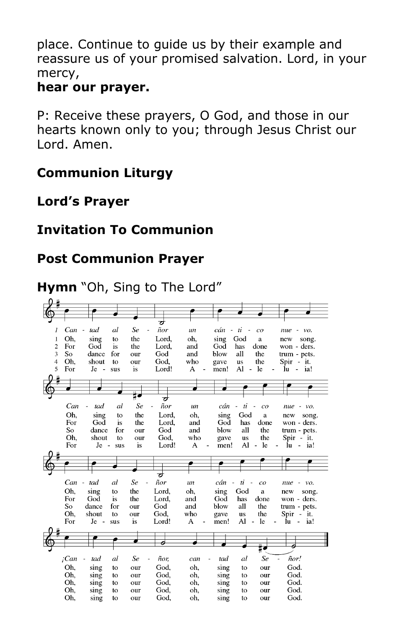place. Continue to guide us by their example and reassure us of your promised salvation. Lord, in your mercy,

#### **hear our prayer.**

P: Receive these prayers, O God, and those in our hearts known only to you; through Jesus Christ our Lord. Amen.

## **Communion Liturgy**

#### **Lord's Prayer**

## **Invitation To Communion**

## **Post Communion Prayer**

## **Hymn** "Oh, Sing to The Lord"